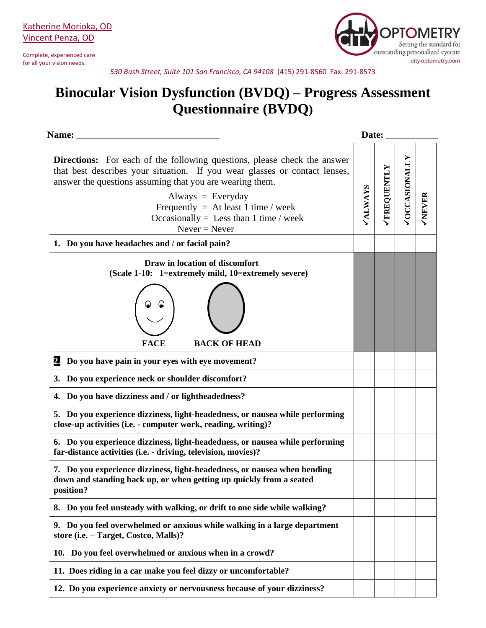Complete, experienced care for all your vision needs.



*530 Bush Street, Suite 101 San Francisco, CA 94108* (415) 291-8560 Fax: 291-8573

## **Binocular Vision Dysfunction (BVDQ) – Progress Assessment Questionnaire (BVDQ)**

| Name:                                                                                                                                                                                                                                                                                                                                                                                                |  | Date:              |                      |               |  |
|------------------------------------------------------------------------------------------------------------------------------------------------------------------------------------------------------------------------------------------------------------------------------------------------------------------------------------------------------------------------------------------------------|--|--------------------|----------------------|---------------|--|
| <b>Directions:</b> For each of the following questions, please check the answer<br>that best describes your situation. If you wear glasses or contact lenses,<br>answer the questions assuming that you are wearing them.<br>Always = Everyday<br>Frequently = At least 1 time / week<br>Occasionally = Less than 1 time / week<br>$Never = Never$<br>1. Do you have headaches and / or facial pain? |  | <b>/FREQUENTLY</b> | <b>VOCCASIONALLY</b> | <b>VNEVER</b> |  |
| Draw in location of discomfort                                                                                                                                                                                                                                                                                                                                                                       |  |                    |                      |               |  |
| (Scale 1-10: 1=extremely mild, 10=extremely severe)                                                                                                                                                                                                                                                                                                                                                  |  |                    |                      |               |  |
| <b>FACE</b><br><b>BACK OF HEAD</b>                                                                                                                                                                                                                                                                                                                                                                   |  |                    |                      |               |  |
| 2.<br>Do you have pain in your eyes with eye movement?                                                                                                                                                                                                                                                                                                                                               |  |                    |                      |               |  |
| 3. Do you experience neck or shoulder discomfort?                                                                                                                                                                                                                                                                                                                                                    |  |                    |                      |               |  |
| 4. Do you have dizziness and / or lightheadedness?                                                                                                                                                                                                                                                                                                                                                   |  |                    |                      |               |  |
| 5. Do you experience dizziness, light-headedness, or nausea while performing<br>close-up activities (i.e. - computer work, reading, writing)?                                                                                                                                                                                                                                                        |  |                    |                      |               |  |
| 6. Do you experience dizziness, light-headedness, or nausea while performing<br>far-distance activities (i.e. - driving, television, movies)?                                                                                                                                                                                                                                                        |  |                    |                      |               |  |
| 7. Do you experience dizziness, light-headedness, or nausea when bending<br>down and standing back up, or when getting up quickly from a seated<br>position?                                                                                                                                                                                                                                         |  |                    |                      |               |  |
| 8. Do you feel unsteady with walking, or drift to one side while walking?                                                                                                                                                                                                                                                                                                                            |  |                    |                      |               |  |
| 9. Do you feel overwhelmed or anxious while walking in a large department<br>store (i.e. - Target, Costco, Malls)?                                                                                                                                                                                                                                                                                   |  |                    |                      |               |  |
| 10. Do you feel overwhelmed or anxious when in a crowd?                                                                                                                                                                                                                                                                                                                                              |  |                    |                      |               |  |
| 11. Does riding in a car make you feel dizzy or uncomfortable?                                                                                                                                                                                                                                                                                                                                       |  |                    |                      |               |  |
| 12. Do you experience anxiety or nervousness because of your dizziness?                                                                                                                                                                                                                                                                                                                              |  |                    |                      |               |  |